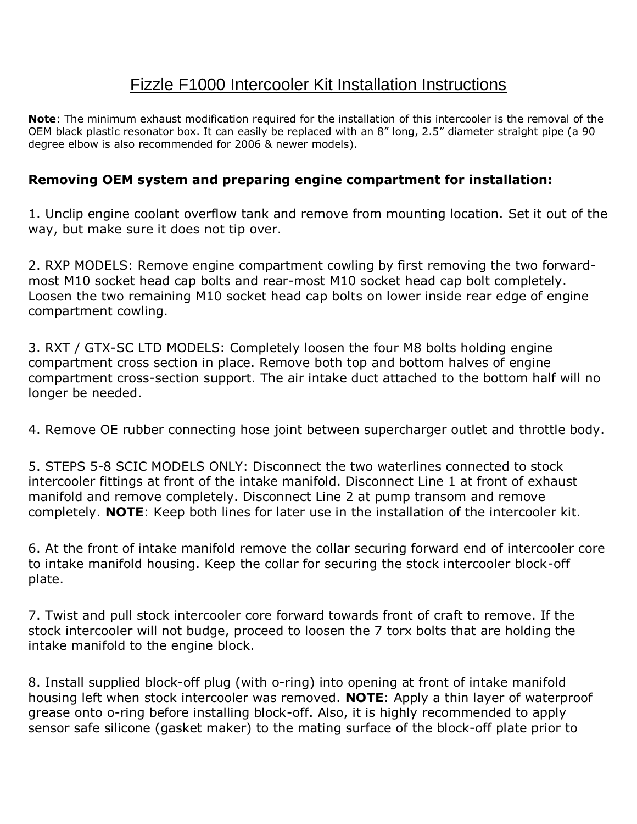# Fizzle F1000 Intercooler Kit Installation Instructions

**Note**: The minimum exhaust modification required for the installation of this intercooler is the removal of the OEM black plastic resonator box. It can easily be replaced with an 8" long, 2.5" diameter straight pipe (a 90 degree elbow is also recommended for 2006 & newer models).

#### **Removing OEM system and preparing engine compartment for installation:**

1. Unclip engine coolant overflow tank and remove from mounting location. Set it out of the way, but make sure it does not tip over.

2. RXP MODELS: Remove engine compartment cowling by first removing the two forwardmost M10 socket head cap bolts and rear-most M10 socket head cap bolt completely. Loosen the two remaining M10 socket head cap bolts on lower inside rear edge of engine compartment cowling.

3. RXT / GTX-SC LTD MODELS: Completely loosen the four M8 bolts holding engine compartment cross section in place. Remove both top and bottom halves of engine compartment cross-section support. The air intake duct attached to the bottom half will no longer be needed.

4. Remove OE rubber connecting hose joint between supercharger outlet and throttle body.

5. STEPS 5-8 SCIC MODELS ONLY: Disconnect the two waterlines connected to stock intercooler fittings at front of the intake manifold. Disconnect Line 1 at front of exhaust manifold and remove completely. Disconnect Line 2 at pump transom and remove completely. **NOTE**: Keep both lines for later use in the installation of the intercooler kit.

6. At the front of intake manifold remove the collar securing forward end of intercooler core to intake manifold housing. Keep the collar for securing the stock intercooler block-off plate.

7. Twist and pull stock intercooler core forward towards front of craft to remove. If the stock intercooler will not budge, proceed to loosen the 7 torx bolts that are holding the intake manifold to the engine block.

8. Install supplied block-off plug (with o-ring) into opening at front of intake manifold housing left when stock intercooler was removed. **NOTE**: Apply a thin layer of waterproof grease onto o-ring before installing block-off. Also, it is highly recommended to apply sensor safe silicone (gasket maker) to the mating surface of the block-off plate prior to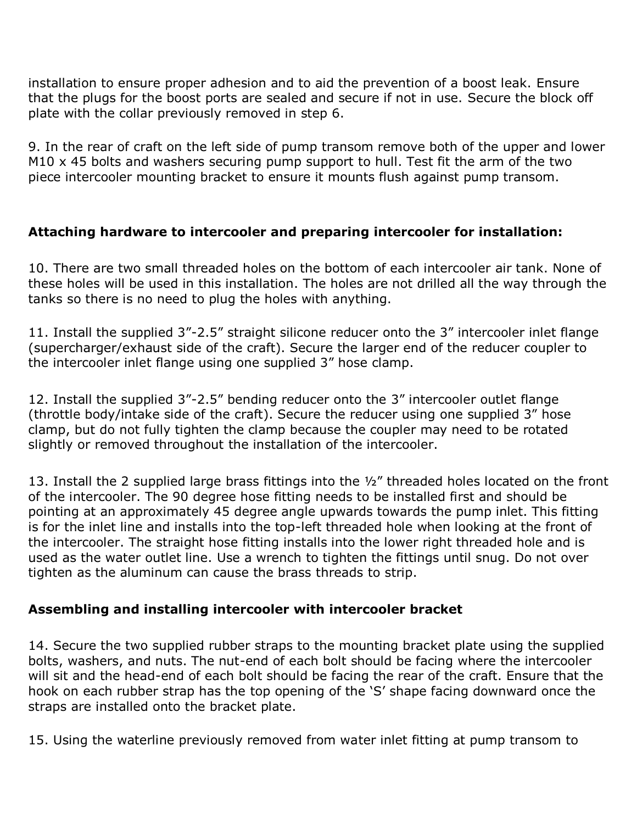installation to ensure proper adhesion and to aid the prevention of a boost leak. Ensure that the plugs for the boost ports are sealed and secure if not in use. Secure the block off plate with the collar previously removed in step 6.

9. In the rear of craft on the left side of pump transom remove both of the upper and lower  $M10 \times 45$  bolts and washers securing pump support to hull. Test fit the arm of the two piece intercooler mounting bracket to ensure it mounts flush against pump transom.

## **Attaching hardware to intercooler and preparing intercooler for installation:**

10. There are two small threaded holes on the bottom of each intercooler air tank. None of these holes will be used in this installation. The holes are not drilled all the way through the tanks so there is no need to plug the holes with anything.

11. Install the supplied 3"-2.5" straight silicone reducer onto the 3" intercooler inlet flange (supercharger/exhaust side of the craft). Secure the larger end of the reducer coupler to the intercooler inlet flange using one supplied 3" hose clamp.

12. Install the supplied 3"-2.5" bending reducer onto the 3" intercooler outlet flange (throttle body/intake side of the craft). Secure the reducer using one supplied 3" hose clamp, but do not fully tighten the clamp because the coupler may need to be rotated slightly or removed throughout the installation of the intercooler.

13. Install the 2 supplied large brass fittings into the ½" threaded holes located on the front of the intercooler. The 90 degree hose fitting needs to be installed first and should be pointing at an approximately 45 degree angle upwards towards the pump inlet. This fitting is for the inlet line and installs into the top-left threaded hole when looking at the front of the intercooler. The straight hose fitting installs into the lower right threaded hole and is used as the water outlet line. Use a wrench to tighten the fittings until snug. Do not over tighten as the aluminum can cause the brass threads to strip.

## **Assembling and installing intercooler with intercooler bracket**

14. Secure the two supplied rubber straps to the mounting bracket plate using the supplied bolts, washers, and nuts. The nut-end of each bolt should be facing where the intercooler will sit and the head-end of each bolt should be facing the rear of the craft. Ensure that the hook on each rubber strap has the top opening of the 'S' shape facing downward once the straps are installed onto the bracket plate.

15. Using the waterline previously removed from water inlet fitting at pump transom to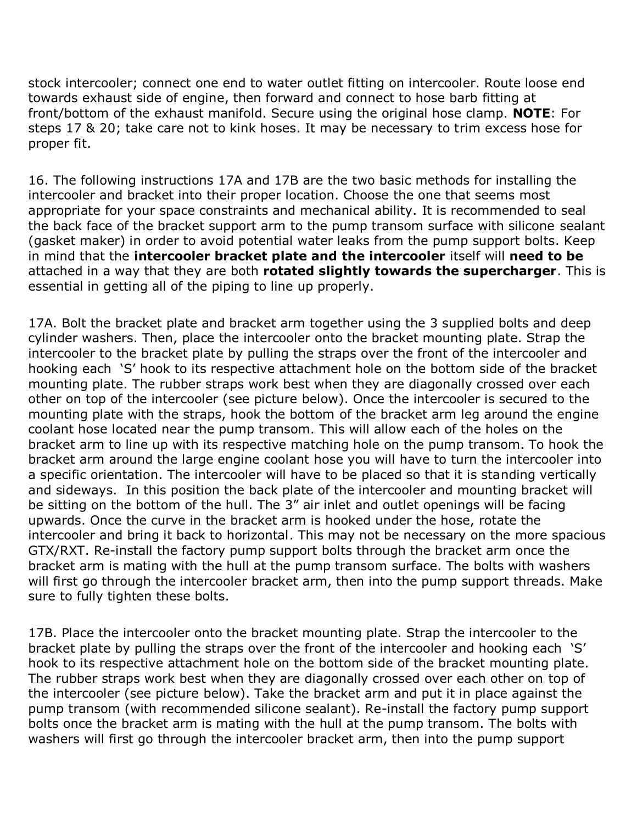stock intercooler; connect one end to water outlet fitting on intercooler. Route loose end towards exhaust side of engine, then forward and connect to hose barb fitting at front/bottom of the exhaust manifold. Secure using the original hose clamp. **NOTE**: For steps 17 & 20; take care not to kink hoses. It may be necessary to trim excess hose for proper fit.

16. The following instructions 17A and 17B are the two basic methods for installing the intercooler and bracket into their proper location. Choose the one that seems most appropriate for your space constraints and mechanical ability. It is recommended to seal the back face of the bracket support arm to the pump transom surface with silicone sealant (gasket maker) in order to avoid potential water leaks from the pump support bolts. Keep in mind that the **intercooler bracket plate and the intercooler** itself will **need to be** attached in a way that they are both **rotated slightly towards the supercharger**. This is essential in getting all of the piping to line up properly.

17A. Bolt the bracket plate and bracket arm together using the 3 supplied bolts and deep cylinder washers. Then, place the intercooler onto the bracket mounting plate. Strap the intercooler to the bracket plate by pulling the straps over the front of the intercooler and hooking each 'S' hook to its respective attachment hole on the bottom side of the bracket mounting plate. The rubber straps work best when they are diagonally crossed over each other on top of the intercooler (see picture below). Once the intercooler is secured to the mounting plate with the straps, hook the bottom of the bracket arm leg around the engine coolant hose located near the pump transom. This will allow each of the holes on the bracket arm to line up with its respective matching hole on the pump transom. To hook the bracket arm around the large engine coolant hose you will have to turn the intercooler into a specific orientation. The intercooler will have to be placed so that it is standing vertically and sideways. In this position the back plate of the intercooler and mounting bracket will be sitting on the bottom of the hull. The 3" air inlet and outlet openings will be facing upwards. Once the curve in the bracket arm is hooked under the hose, rotate the intercooler and bring it back to horizontal. This may not be necessary on the more spacious GTX/RXT. Re-install the factory pump support bolts through the bracket arm once the bracket arm is mating with the hull at the pump transom surface. The bolts with washers will first go through the intercooler bracket arm, then into the pump support threads. Make sure to fully tighten these bolts.

17B. Place the intercooler onto the bracket mounting plate. Strap the intercooler to the bracket plate by pulling the straps over the front of the intercooler and hooking each 'S' hook to its respective attachment hole on the bottom side of the bracket mounting plate. The rubber straps work best when they are diagonally crossed over each other on top of the intercooler (see picture below). Take the bracket arm and put it in place against the pump transom (with recommended silicone sealant). Re-install the factory pump support bolts once the bracket arm is mating with the hull at the pump transom. The bolts with washers will first go through the intercooler bracket arm, then into the pump support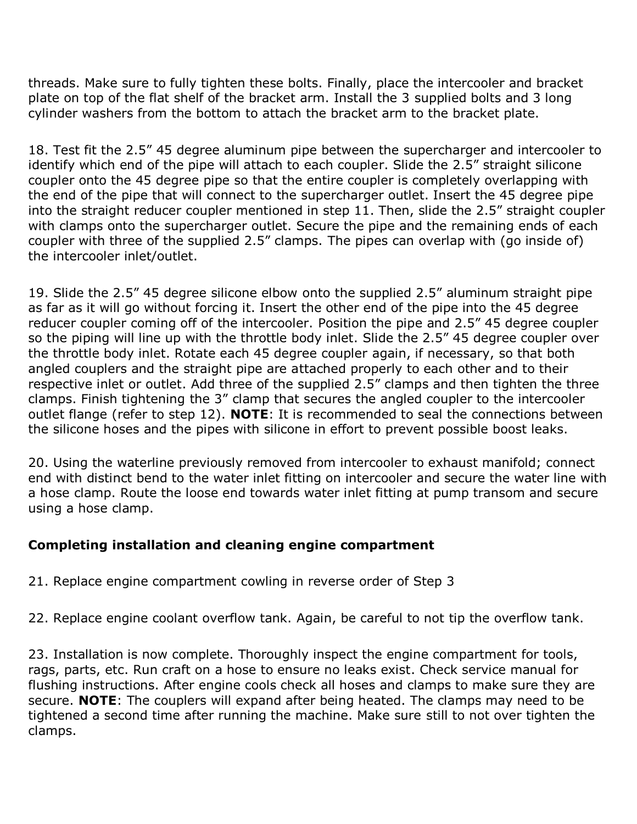threads. Make sure to fully tighten these bolts. Finally, place the intercooler and bracket plate on top of the flat shelf of the bracket arm. Install the 3 supplied bolts and 3 long cylinder washers from the bottom to attach the bracket arm to the bracket plate.

18. Test fit the 2.5" 45 degree aluminum pipe between the supercharger and intercooler to identify which end of the pipe will attach to each coupler. Slide the 2.5" straight silicone coupler onto the 45 degree pipe so that the entire coupler is completely overlapping with the end of the pipe that will connect to the supercharger outlet. Insert the 45 degree pipe into the straight reducer coupler mentioned in step 11. Then, slide the 2.5" straight coupler with clamps onto the supercharger outlet. Secure the pipe and the remaining ends of each coupler with three of the supplied 2.5" clamps. The pipes can overlap with (go inside of) the intercooler inlet/outlet.

19. Slide the 2.5" 45 degree silicone elbow onto the supplied 2.5" aluminum straight pipe as far as it will go without forcing it. Insert the other end of the pipe into the 45 degree reducer coupler coming off of the intercooler. Position the pipe and 2.5" 45 degree coupler so the piping will line up with the throttle body inlet. Slide the 2.5" 45 degree coupler over the throttle body inlet. Rotate each 45 degree coupler again, if necessary, so that both angled couplers and the straight pipe are attached properly to each other and to their respective inlet or outlet. Add three of the supplied 2.5" clamps and then tighten the three clamps. Finish tightening the 3" clamp that secures the angled coupler to the intercooler outlet flange (refer to step 12). **NOTE**: It is recommended to seal the connections between the silicone hoses and the pipes with silicone in effort to prevent possible boost leaks.

20. Using the waterline previously removed from intercooler to exhaust manifold; connect end with distinct bend to the water inlet fitting on intercooler and secure the water line with a hose clamp. Route the loose end towards water inlet fitting at pump transom and secure using a hose clamp.

## **Completing installation and cleaning engine compartment**

21. Replace engine compartment cowling in reverse order of Step 3

22. Replace engine coolant overflow tank. Again, be careful to not tip the overflow tank.

23. Installation is now complete. Thoroughly inspect the engine compartment for tools, rags, parts, etc. Run craft on a hose to ensure no leaks exist. Check service manual for flushing instructions. After engine cools check all hoses and clamps to make sure they are secure. **NOTE**: The couplers will expand after being heated. The clamps may need to be tightened a second time after running the machine. Make sure still to not over tighten the clamps.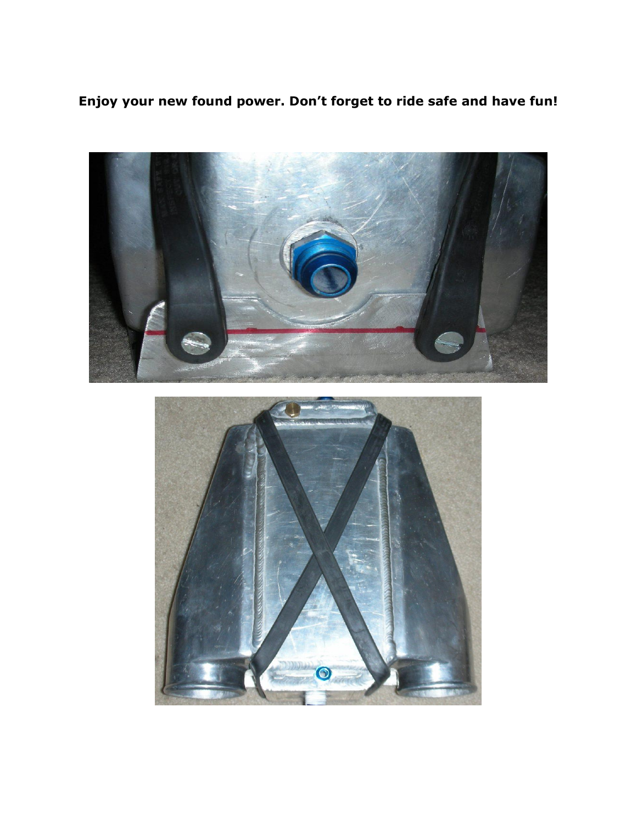**Enjoy your new found power. Don't forget to ride safe and have fun!**

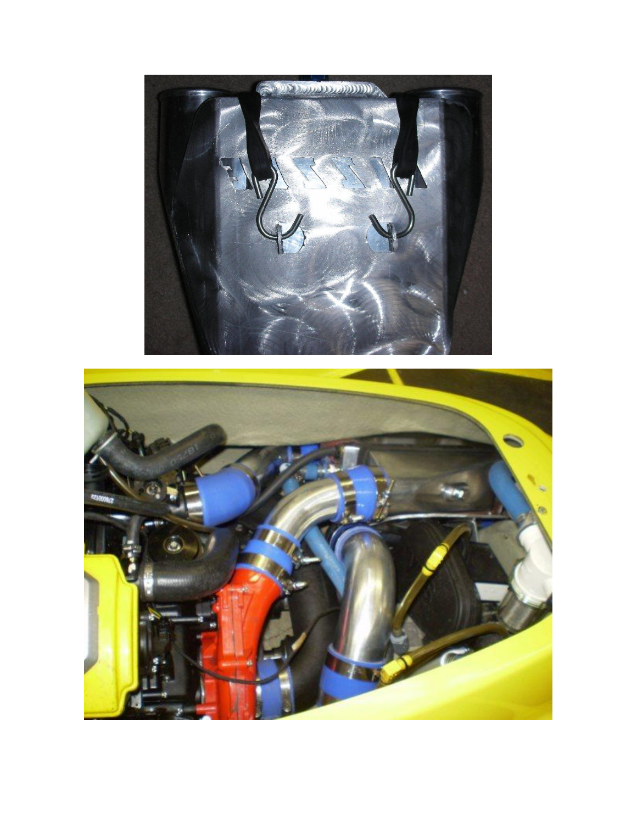

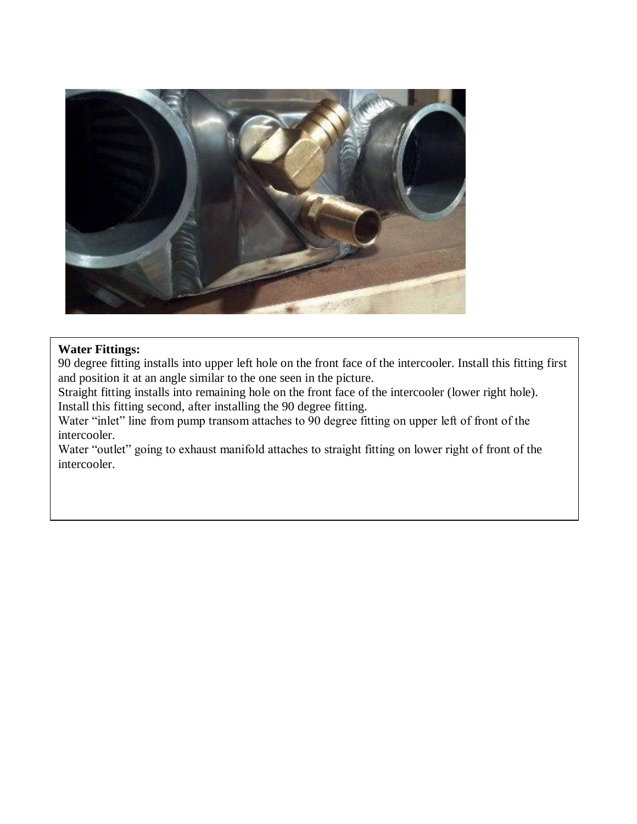

#### **Water Fittings:**

90 degree fitting installs into upper left hole on the front face of the intercooler. Install this fitting first and position it at an angle similar to the one seen in the picture.

Straight fitting installs into remaining hole on the front face of the intercooler (lower right hole). Install this fitting second, after installing the 90 degree fitting.

Water "inlet" line from pump transom attaches to 90 degree fitting on upper left of front of the intercooler.

Water "outlet" going to exhaust manifold attaches to straight fitting on lower right of front of the intercooler.